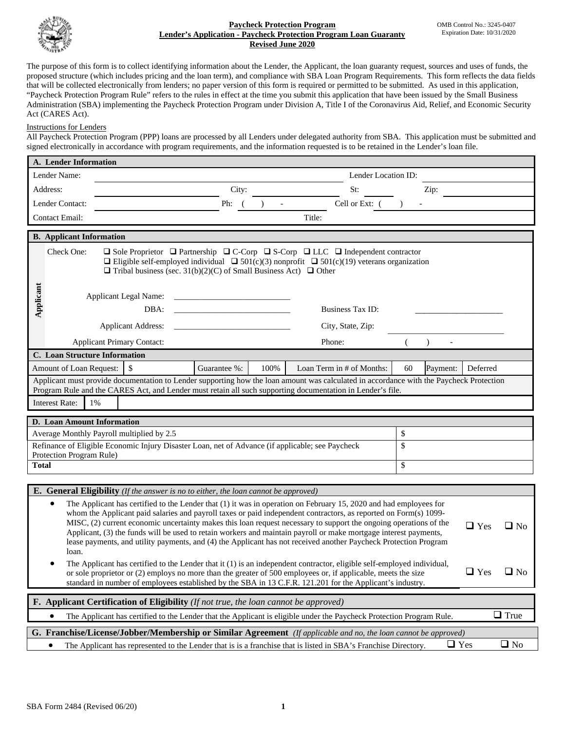

#### **Paycheck Protection Program Lender's Application - Paycheck Protection Program Loan Guaranty Revised June 2020**

The purpose of this form is to collect identifying information about the Lender, the Applicant, the loan guaranty request, sources and uses of funds, the proposed structure (which includes pricing and the loan term), and compliance with SBA Loan Program Requirements. This form reflects the data fields that will be collected electronically from lenders; no paper version of this form is required or permitted to be submitted. As used in this application, "Paycheck Protection Program Rule" refers to the rules in effect at the time you submit this application that have been issued by the Small Business Administration (SBA) implementing the Paycheck Protection Program under Division A, Title I of the Coronavirus Aid, Relief, and Economic Security Act (CARES Act).

### Instructions for Lenders

All Paycheck Protection Program (PPP) loans are processed by all Lenders under delegated authority from SBA. This application must be submitted and signed electronically in accordance with program requirements, and the information requested is to be retained in the Lender's loan file.

|                                                                                                                                    | A. Lender Information                                                                                                                                                                                                                                            |                                                                                                                                                                                                                               |                                   |                                                                                     |                                                             |                                                                                                                                         |    |          |            |             |
|------------------------------------------------------------------------------------------------------------------------------------|------------------------------------------------------------------------------------------------------------------------------------------------------------------------------------------------------------------------------------------------------------------|-------------------------------------------------------------------------------------------------------------------------------------------------------------------------------------------------------------------------------|-----------------------------------|-------------------------------------------------------------------------------------|-------------------------------------------------------------|-----------------------------------------------------------------------------------------------------------------------------------------|----|----------|------------|-------------|
| Lender Name:                                                                                                                       |                                                                                                                                                                                                                                                                  |                                                                                                                                                                                                                               |                                   |                                                                                     |                                                             | Lender Location ID:                                                                                                                     |    |          |            |             |
| Address:                                                                                                                           |                                                                                                                                                                                                                                                                  |                                                                                                                                                                                                                               |                                   | City:                                                                               |                                                             | St:                                                                                                                                     |    | Zip:     |            |             |
| Lender Contact:                                                                                                                    |                                                                                                                                                                                                                                                                  |                                                                                                                                                                                                                               |                                   | Ph:                                                                                 |                                                             | Cell or Ext: (                                                                                                                          |    |          |            |             |
| <b>Contact Email:</b>                                                                                                              |                                                                                                                                                                                                                                                                  |                                                                                                                                                                                                                               |                                   |                                                                                     |                                                             | Title:                                                                                                                                  |    |          |            |             |
|                                                                                                                                    | <b>B.</b> Applicant Information                                                                                                                                                                                                                                  |                                                                                                                                                                                                                               |                                   |                                                                                     |                                                             |                                                                                                                                         |    |          |            |             |
|                                                                                                                                    | Check One:                                                                                                                                                                                                                                                       |                                                                                                                                                                                                                               |                                   |                                                                                     |                                                             |                                                                                                                                         |    |          |            |             |
|                                                                                                                                    |                                                                                                                                                                                                                                                                  | $\Box$ Sole Proprietor $\Box$ Partnership $\Box$ C-Corp $\Box$ S-Corp $\Box$ LLC $\Box$ Independent contractor<br>$\Box$ Eligible self-employed individual $\Box$ 501(c)(3) nonprofit $\Box$ 501(c)(19) veterans organization |                                   |                                                                                     |                                                             |                                                                                                                                         |    |          |            |             |
|                                                                                                                                    |                                                                                                                                                                                                                                                                  | $\Box$ Tribal business (sec. 31(b)(2)(C) of Small Business Act) $\Box$ Other                                                                                                                                                  |                                   |                                                                                     |                                                             |                                                                                                                                         |    |          |            |             |
|                                                                                                                                    |                                                                                                                                                                                                                                                                  |                                                                                                                                                                                                                               |                                   |                                                                                     |                                                             |                                                                                                                                         |    |          |            |             |
| Applicant                                                                                                                          | Applicant Legal Name:                                                                                                                                                                                                                                            |                                                                                                                                                                                                                               |                                   |                                                                                     | the control of the control of the control of the control of |                                                                                                                                         |    |          |            |             |
|                                                                                                                                    |                                                                                                                                                                                                                                                                  |                                                                                                                                                                                                                               | DBA:                              |                                                                                     | <b>Business Tax ID:</b>                                     |                                                                                                                                         |    |          |            |             |
|                                                                                                                                    |                                                                                                                                                                                                                                                                  |                                                                                                                                                                                                                               | <b>Applicant Address:</b>         |                                                                                     |                                                             | City, State, Zip:                                                                                                                       |    |          |            |             |
|                                                                                                                                    |                                                                                                                                                                                                                                                                  |                                                                                                                                                                                                                               | <b>Applicant Primary Contact:</b> |                                                                                     |                                                             | Phone:                                                                                                                                  |    |          |            |             |
|                                                                                                                                    | C. Loan Structure Information                                                                                                                                                                                                                                    |                                                                                                                                                                                                                               |                                   |                                                                                     |                                                             |                                                                                                                                         |    |          |            |             |
|                                                                                                                                    | Amount of Loan Request:                                                                                                                                                                                                                                          |                                                                                                                                                                                                                               | $\mathsf{\$}$                     | Guarantee %:                                                                        | 100%                                                        | Loan Term in # of Months:                                                                                                               | 60 | Payment: | Deferred   |             |
|                                                                                                                                    |                                                                                                                                                                                                                                                                  |                                                                                                                                                                                                                               |                                   |                                                                                     |                                                             | Applicant must provide documentation to Lender supporting how the loan amount was calculated in accordance with the Paycheck Protection |    |          |            |             |
|                                                                                                                                    | <b>Interest Rate:</b>                                                                                                                                                                                                                                            | 1%                                                                                                                                                                                                                            |                                   |                                                                                     |                                                             | Program Rule and the CARES Act, and Lender must retain all such supporting documentation in Lender's file.                              |    |          |            |             |
|                                                                                                                                    |                                                                                                                                                                                                                                                                  |                                                                                                                                                                                                                               |                                   |                                                                                     |                                                             |                                                                                                                                         |    |          |            |             |
|                                                                                                                                    | <b>D.</b> Loan Amount Information                                                                                                                                                                                                                                |                                                                                                                                                                                                                               |                                   |                                                                                     |                                                             |                                                                                                                                         |    |          |            |             |
|                                                                                                                                    | \$<br>Average Monthly Payroll multiplied by 2.5                                                                                                                                                                                                                  |                                                                                                                                                                                                                               |                                   |                                                                                     |                                                             |                                                                                                                                         |    |          |            |             |
| Refinance of Eligible Economic Injury Disaster Loan, net of Advance (if applicable; see Paycheck<br>\$<br>Protection Program Rule) |                                                                                                                                                                                                                                                                  |                                                                                                                                                                                                                               |                                   |                                                                                     |                                                             |                                                                                                                                         |    |          |            |             |
| <b>Total</b>                                                                                                                       |                                                                                                                                                                                                                                                                  |                                                                                                                                                                                                                               |                                   |                                                                                     |                                                             |                                                                                                                                         | \$ |          |            |             |
|                                                                                                                                    |                                                                                                                                                                                                                                                                  |                                                                                                                                                                                                                               |                                   |                                                                                     |                                                             |                                                                                                                                         |    |          |            |             |
|                                                                                                                                    |                                                                                                                                                                                                                                                                  |                                                                                                                                                                                                                               |                                   | E. General Eligibility (If the answer is no to either, the loan cannot be approved) |                                                             |                                                                                                                                         |    |          |            |             |
|                                                                                                                                    | $\bullet$                                                                                                                                                                                                                                                        |                                                                                                                                                                                                                               |                                   |                                                                                     |                                                             | The Applicant has certified to the Lender that (1) it was in operation on February 15, 2020 and had employees for                       |    |          |            |             |
|                                                                                                                                    |                                                                                                                                                                                                                                                                  |                                                                                                                                                                                                                               |                                   |                                                                                     |                                                             | whom the Applicant paid salaries and payroll taxes or paid independent contractors, as reported on Form(s) 1099-                        |    |          |            |             |
|                                                                                                                                    | MISC, (2) current economic uncertainty makes this loan request necessary to support the ongoing operations of the<br>$\Box$ Yes<br>$\Box$ No<br>Applicant, (3) the funds will be used to retain workers and maintain payroll or make mortgage interest payments, |                                                                                                                                                                                                                               |                                   |                                                                                     |                                                             |                                                                                                                                         |    |          |            |             |
|                                                                                                                                    | loan.                                                                                                                                                                                                                                                            |                                                                                                                                                                                                                               |                                   |                                                                                     |                                                             | lease payments, and utility payments, and (4) the Applicant has not received another Paycheck Protection Program                        |    |          |            |             |
|                                                                                                                                    |                                                                                                                                                                                                                                                                  |                                                                                                                                                                                                                               |                                   |                                                                                     |                                                             | The Applicant has certified to the Lender that it (1) is an independent contractor, eligible self-employed individual,                  |    |          |            |             |
|                                                                                                                                    |                                                                                                                                                                                                                                                                  |                                                                                                                                                                                                                               |                                   |                                                                                     |                                                             | or sole proprietor or (2) employs no more than the greater of 500 employees or, if applicable, meets the size                           |    |          | $\Box$ Yes | $\Box$ No   |
|                                                                                                                                    |                                                                                                                                                                                                                                                                  |                                                                                                                                                                                                                               |                                   |                                                                                     |                                                             | standard in number of employees established by the SBA in 13 C.F.R. 121.201 for the Applicant's industry.                               |    |          |            |             |
| <b>F.</b> Applicant Certification of Eligibility ( <i>If not true, the loan cannot be approved</i> )                               |                                                                                                                                                                                                                                                                  |                                                                                                                                                                                                                               |                                   |                                                                                     |                                                             |                                                                                                                                         |    |          |            |             |
|                                                                                                                                    | ٠                                                                                                                                                                                                                                                                |                                                                                                                                                                                                                               |                                   |                                                                                     |                                                             | The Applicant has certified to the Lender that the Applicant is eligible under the Paycheck Protection Program Rule.                    |    |          |            | $\Box$ True |
| G. Franchise/License/Jobber/Membership or Similar Agreement (If applicable and no, the loan cannot be approved)                    |                                                                                                                                                                                                                                                                  |                                                                                                                                                                                                                               |                                   |                                                                                     |                                                             |                                                                                                                                         |    |          |            |             |
|                                                                                                                                    | $\Box$ No<br>$\Box$ Yes<br>The Applicant has represented to the Lender that is is a franchise that is listed in SBA's Franchise Directory.<br>$\bullet$                                                                                                          |                                                                                                                                                                                                                               |                                   |                                                                                     |                                                             |                                                                                                                                         |    |          |            |             |